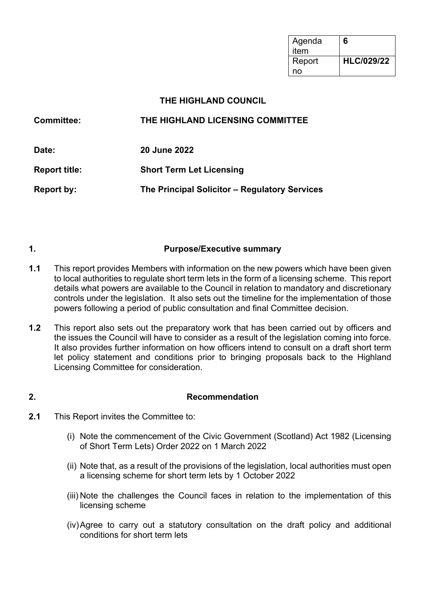| Agenda<br>item | 6                 |
|----------------|-------------------|
| Report         | <b>HLC/029/22</b> |
| no             |                   |

#### **THE HIGHLAND COUNCIL**

| <b>Committee:</b>    | THE HIGHLAND LICENSING COMMITTEE              |  |
|----------------------|-----------------------------------------------|--|
| Date:                | <b>20 June 2022</b>                           |  |
| <b>Report title:</b> | <b>Short Term Let Licensing</b>               |  |
| Report by:           | The Principal Solicitor – Regulatory Services |  |

#### **1. Purpose/Executive summary**

- **1.1** This report provides Members with information on the new powers which have been given to local authorities to regulate short term lets in the form of a licensing scheme. This report details what powers are available to the Council in relation to mandatory and discretionary controls under the legislation. It also sets out the timeline for the implementation of those powers following a period of public consultation and final Committee decision.
- **1.2** This report also sets out the preparatory work that has been carried out by officers and the issues the Council will have to consider as a result of the legislation coming into force. It also provides further information on how officers intend to consult on a draft short term let policy statement and conditions prior to bringing proposals back to the Highland Licensing Committee for consideration.

#### **2. Recommendation**

- **2.1** This Report invites the Committee to:
	- (i) Note the commencement of the Civic Government (Scotland) Act 1982 (Licensing of Short Term Lets) Order 2022 on 1 March 2022
	- (ii) Note that, as a result of the provisions of the legislation, local authorities must open a licensing scheme for short term lets by 1 October 2022
	- (iii) Note the challenges the Council faces in relation to the implementation of this licensing scheme
	- (iv)Agree to carry out a statutory consultation on the draft policy and additional conditions for short term lets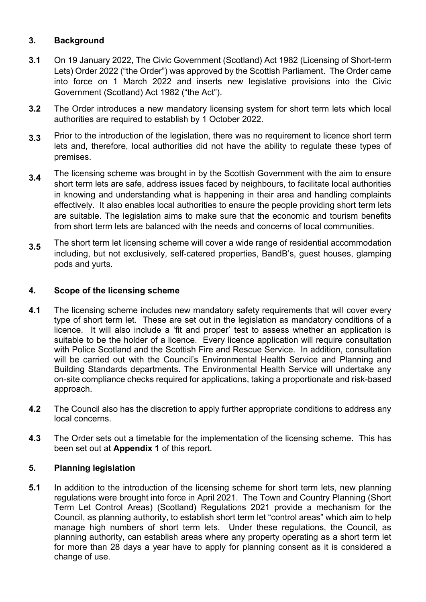### **3. Background**

- **3.1** On 19 January 2022, The Civic Government (Scotland) Act 1982 (Licensing of Short-term Lets) Order 2022 ("the Order") was approved by the Scottish Parliament. The Order came into force on 1 March 2022 and inserts new legislative provisions into the Civic Government (Scotland) Act 1982 ("the Act").
- **3.2** The Order introduces a new mandatory licensing system for short term lets which local authorities are required to establish by 1 October 2022.
- **3.3** Prior to the introduction of the legislation, there was no requirement to licence short term lets and, therefore, local authorities did not have the ability to regulate these types of premises.
- **3.4** The licensing scheme was brought in by the Scottish Government with the aim to ensure short term lets are safe, address issues faced by neighbours, to facilitate local authorities in knowing and understanding what is happening in their area and handling complaints effectively. It also enables local authorities to ensure the people providing short term lets are suitable. The legislation aims to make sure that the economic and tourism benefits from short term lets are balanced with the needs and concerns of local communities.
- **3.5** The short term let licensing scheme will cover a wide range of residential accommodation including, but not exclusively, self-catered properties, BandB's, guest houses, glamping pods and yurts.

#### **4. Scope of the licensing scheme**

- **4.1** The licensing scheme includes new mandatory safety requirements that will cover every type of short term let. These are set out in the legislation as mandatory conditions of a licence. It will also include a 'fit and proper' test to assess whether an application is suitable to be the holder of a licence. Every licence application will require consultation with Police Scotland and the Scottish Fire and Rescue Service. In addition, consultation will be carried out with the Council's Environmental Health Service and Planning and Building Standards departments. The Environmental Health Service will undertake any on-site compliance checks required for applications, taking a proportionate and risk-based approach.
- **4.2** The Council also has the discretion to apply further appropriate conditions to address any local concerns.
- **4.3** The Order sets out a timetable for the implementation of the licensing scheme. This has been set out at **Appendix 1** of this report.

#### **5. Planning legislation**

**5.1** In addition to the introduction of the licensing scheme for short term lets, new planning regulations were brought into force in April 2021. The Town and Country Planning (Short Term Let Control Areas) (Scotland) Regulations 2021 provide a mechanism for the Council, as planning authority, to establish short term let "control areas" which aim to help manage high numbers of short term lets. Under these regulations, the Council, as planning authority, can establish areas where any property operating as a short term let for more than 28 days a year have to apply for planning consent as it is considered a change of use.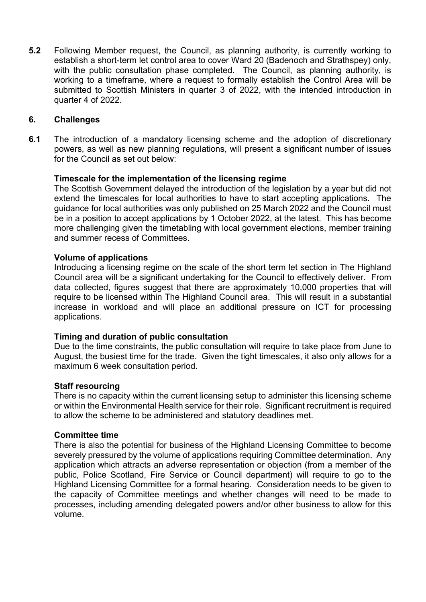**5.2** Following Member request, the Council, as planning authority, is currently working to establish a short-term let control area to cover Ward 20 (Badenoch and Strathspey) only, with the public consultation phase completed. The Council, as planning authority, is working to a timeframe, where a request to formally establish the Control Area will be submitted to Scottish Ministers in quarter 3 of 2022, with the intended introduction in quarter 4 of 2022.

#### **6. Challenges**

**6.1** The introduction of a mandatory licensing scheme and the adoption of discretionary powers, as well as new planning regulations, will present a significant number of issues for the Council as set out below:

#### **Timescale for the implementation of the licensing regime**

The Scottish Government delayed the introduction of the legislation by a year but did not extend the timescales for local authorities to have to start accepting applications. The guidance for local authorities was only published on 25 March 2022 and the Council must be in a position to accept applications by 1 October 2022, at the latest. This has become more challenging given the timetabling with local government elections, member training and summer recess of Committees.

#### **Volume of applications**

Introducing a licensing regime on the scale of the short term let section in The Highland Council area will be a significant undertaking for the Council to effectively deliver. From data collected, figures suggest that there are approximately 10,000 properties that will require to be licensed within The Highland Council area. This will result in a substantial increase in workload and will place an additional pressure on ICT for processing applications.

#### **Timing and duration of public consultation**

Due to the time constraints, the public consultation will require to take place from June to August, the busiest time for the trade. Given the tight timescales, it also only allows for a maximum 6 week consultation period.

#### **Staff resourcing**

There is no capacity within the current licensing setup to administer this licensing scheme or within the Environmental Health service for their role. Significant recruitment is required to allow the scheme to be administered and statutory deadlines met.

#### **Committee time**

There is also the potential for business of the Highland Licensing Committee to become severely pressured by the volume of applications requiring Committee determination. Any application which attracts an adverse representation or objection (from a member of the public, Police Scotland, Fire Service or Council department) will require to go to the Highland Licensing Committee for a formal hearing. Consideration needs to be given to the capacity of Committee meetings and whether changes will need to be made to processes, including amending delegated powers and/or other business to allow for this volume.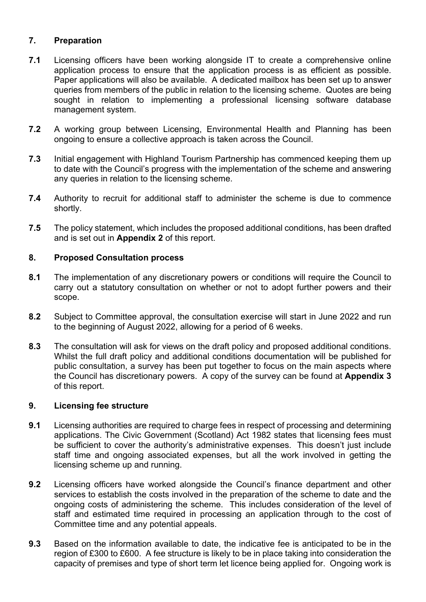#### **7. Preparation**

- **7.1** Licensing officers have been working alongside IT to create a comprehensive online application process to ensure that the application process is as efficient as possible. Paper applications will also be available. A dedicated mailbox has been set up to answer queries from members of the public in relation to the licensing scheme. Quotes are being sought in relation to implementing a professional licensing software database management system.
- **7.2** A working group between Licensing, Environmental Health and Planning has been ongoing to ensure a collective approach is taken across the Council.
- **7.3** Initial engagement with Highland Tourism Partnership has commenced keeping them up to date with the Council's progress with the implementation of the scheme and answering any queries in relation to the licensing scheme.
- **7.4** Authority to recruit for additional staff to administer the scheme is due to commence shortly.
- **7.5** The policy statement, which includes the proposed additional conditions, has been drafted and is set out in **Appendix 2** of this report.

#### **8. Proposed Consultation process**

- **8.1** The implementation of any discretionary powers or conditions will require the Council to carry out a statutory consultation on whether or not to adopt further powers and their scope.
- **8.2** Subject to Committee approval, the consultation exercise will start in June 2022 and run to the beginning of August 2022, allowing for a period of 6 weeks.
- **8.3** The consultation will ask for views on the draft policy and proposed additional conditions. Whilst the full draft policy and additional conditions documentation will be published for public consultation, a survey has been put together to focus on the main aspects where the Council has discretionary powers. A copy of the survey can be found at **Appendix 3** of this report.

#### **9. Licensing fee structure**

- **9.1** Licensing authorities are required to charge fees in respect of processing and determining applications. The Civic Government (Scotland) Act 1982 states that licensing fees must be sufficient to cover the authority's administrative expenses. This doesn't just include staff time and ongoing associated expenses, but all the work involved in getting the licensing scheme up and running.
- **9.2** Licensing officers have worked alongside the Council's finance department and other services to establish the costs involved in the preparation of the scheme to date and the ongoing costs of administering the scheme. This includes consideration of the level of staff and estimated time required in processing an application through to the cost of Committee time and any potential appeals.
- **9.3**  Based on the information available to date, the indicative fee is anticipated to be in the region of £300 to £600. A fee structure is likely to be in place taking into consideration the capacity of premises and type of short term let licence being applied for. Ongoing work is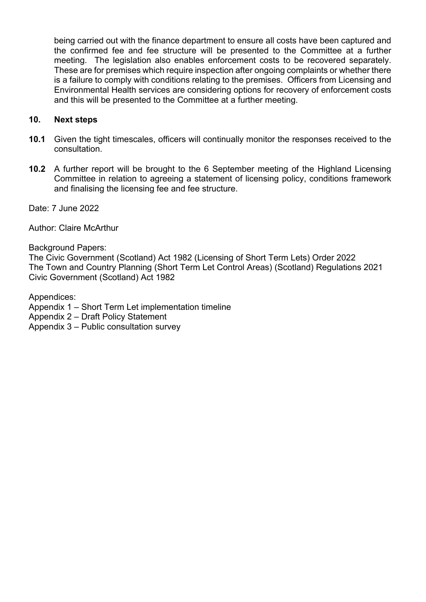being carried out with the finance department to ensure all costs have been captured and the confirmed fee and fee structure will be presented to the Committee at a further meeting. The legislation also enables enforcement costs to be recovered separately. These are for premises which require inspection after ongoing complaints or whether there is a failure to comply with conditions relating to the premises. Officers from Licensing and Environmental Health services are considering options for recovery of enforcement costs and this will be presented to the Committee at a further meeting.

#### **10. Next steps**

- **10.1** Given the tight timescales, officers will continually monitor the responses received to the consultation.
- **10.2** A further report will be brought to the 6 September meeting of the Highland Licensing Committee in relation to agreeing a statement of licensing policy, conditions framework and finalising the licensing fee and fee structure.

Date: 7 June 2022

Author: Claire McArthur

Background Papers:

The Civic Government (Scotland) Act 1982 (Licensing of Short Term Lets) Order 2022 The Town and Country Planning (Short Term Let Control Areas) (Scotland) Regulations 2021 Civic Government (Scotland) Act 1982

Appendices:

Appendix 1 – Short Term Let implementation timeline

Appendix 2 – Draft Policy Statement

Appendix 3 – Public consultation survey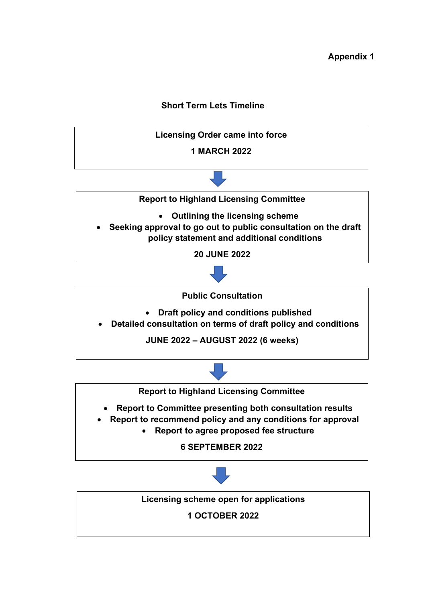### **Short Term Lets Timeline**







**Licensing scheme open for applications**

**1 OCTOBER 2022**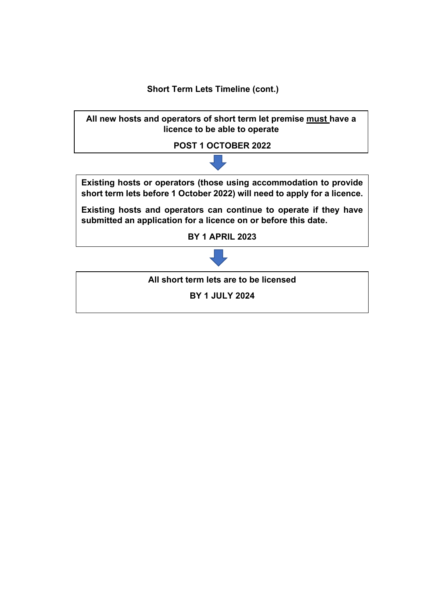**Short Term Lets Timeline (cont.)**

**All new hosts and operators of short term let premise must have a licence to be able to operate**

**POST 1 OCTOBER 2022**

**Existing hosts or operators (those using accommodation to provide short term lets before 1 October 2022) will need to apply for a licence.**

**Existing hosts and operators can continue to operate if they have submitted an application for a licence on or before this date.**

**BY 1 APRIL 2023**



**All short term lets are to be licensed**

**BY 1 JULY 2024**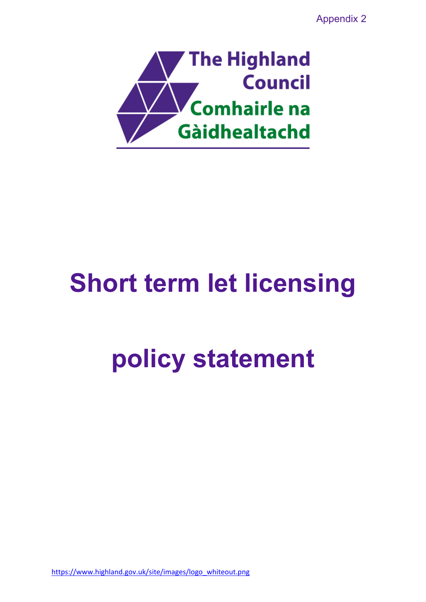Appendix 2



# **Short term let licensing**

# **policy statement**

[https://www.highland.gov.uk/site/images/logo\\_whiteout.png](https://www.highland.gov.uk/site/images/logo_whiteout.png)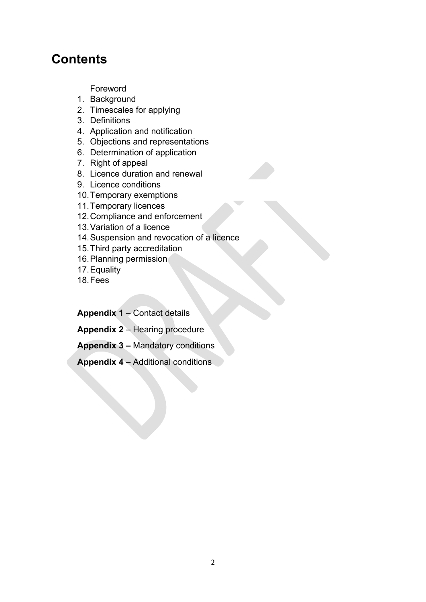### **Contents**

Foreword

- 1. Background
- 2. Timescales for applying
- 3. Definitions
- 4. Application and notification
- 5. Objections and representations
- 6. Determination of application
- 7. Right of appeal
- 8. Licence duration and renewal
- 9. Licence conditions
- 10.Temporary exemptions
- 11.Temporary licences
- 12.Compliance and enforcement
- 13.Variation of a licence
- 14.Suspension and revocation of a licence
- 15.Third party accreditation
- 16.Planning permission
- 17.Equality
- 18.Fees

**Appendix 1** – Contact details

**Appendix 2** – Hearing procedure

**Appendix 3 –** Mandatory conditions

**Appendix 4** – Additional conditions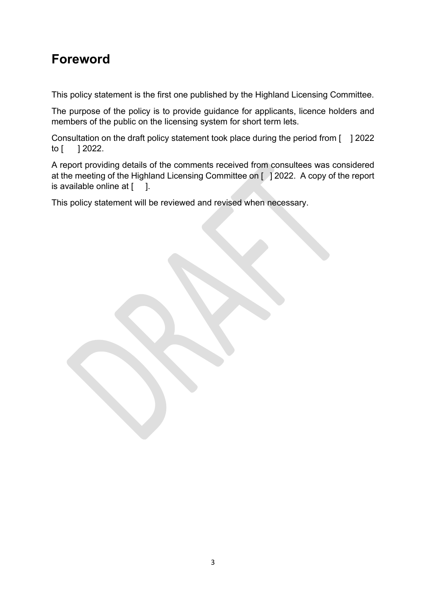## **Foreword**

This policy statement is the first one published by the Highland Licensing Committee.

The purpose of the policy is to provide guidance for applicants, licence holders and members of the public on the licensing system for short term lets.

Consultation on the draft policy statement took place during the period from [ ] 2022 to [ ] 2022.

A report providing details of the comments received from consultees was considered at the meeting of the Highland Licensing Committee on [ ] 2022. A copy of the report is available online at  $[$   $]$ .

This policy statement will be reviewed and revised when necessary.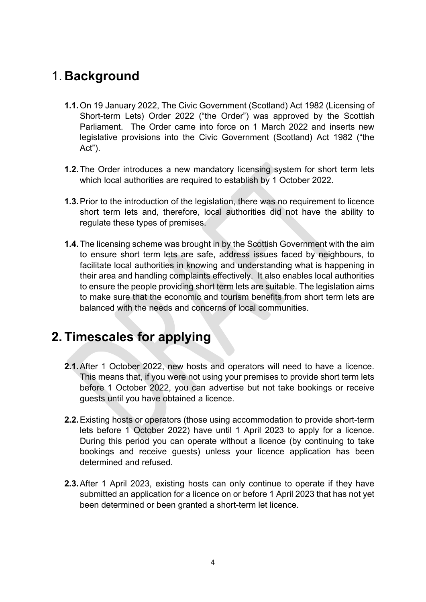### 1. **Background**

- **1.1.**On 19 January 2022, The Civic Government (Scotland) Act 1982 (Licensing of Short-term Lets) Order 2022 ("the Order") was approved by the Scottish Parliament. The Order came into force on 1 March 2022 and inserts new legislative provisions into the Civic Government (Scotland) Act 1982 ("the Act").
- **1.2.**The Order introduces a new mandatory licensing system for short term lets which local authorities are required to establish by 1 October 2022.
- **1.3.**Prior to the introduction of the legislation, there was no requirement to licence short term lets and, therefore, local authorities did not have the ability to regulate these types of premises.
- **1.4.**The licensing scheme was brought in by the Scottish Government with the aim to ensure short term lets are safe, address issues faced by neighbours, to facilitate local authorities in knowing and understanding what is happening in their area and handling complaints effectively. It also enables local authorities to ensure the people providing short term lets are suitable. The legislation aims to make sure that the economic and tourism benefits from short term lets are balanced with the needs and concerns of local communities.

### **2. Timescales for applying**

- **2.1.**After 1 October 2022, new hosts and operators will need to have a licence. This means that, if you were not using your premises to provide short term lets before 1 October 2022, you can advertise but not take bookings or receive guests until you have obtained a licence.
- **2.2.**Existing hosts or operators (those using accommodation to provide short-term lets before 1 October 2022) have until 1 April 2023 to apply for a licence. During this period you can operate without a licence (by continuing to take bookings and receive guests) unless your licence application has been determined and refused.
- **2.3.**After 1 April 2023, existing hosts can only continue to operate if they have submitted an application for a licence on or before 1 April 2023 that has not yet been determined or been granted a short-term let licence.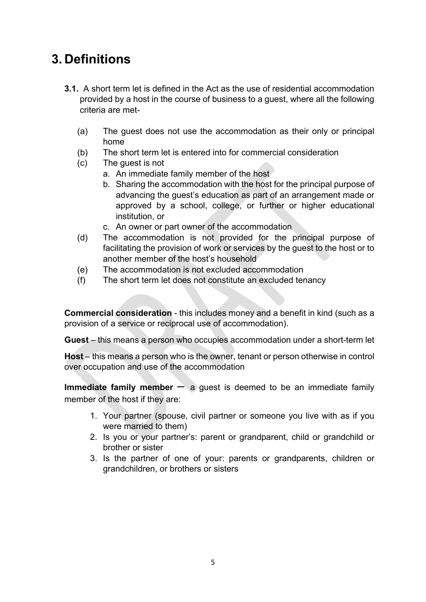## **3. Definitions**

- **3.1.** A short term let is defined in the Act as the use of residential accommodation provided by a host in the course of business to a guest, where all the following criteria are met-
	- (a) The guest does not use the accommodation as their only or principal home
	- (b) The short term let is entered into for commercial consideration
	- (c) The guest is not
		- a. An immediate family member of the host
		- b. Sharing the accommodation with the host for the principal purpose of advancing the guest's education as part of an arrangement made or approved by a school, college, or further or higher educational institution, or
		- c. An owner or part owner of the accommodation
	- (d) The accommodation is not provided for the principal purpose of facilitating the provision of work or services by the guest to the host or to another member of the host's household
	- (e) The accommodation is not excluded accommodation
	- (f) The short term let does not constitute an excluded tenancy

**Commercial consideration** - this includes money and a benefit in kind (such as a provision of a service or reciprocal use of accommodation).

**Guest** – this means a person who occupies accommodation under a short-term let

**Host** – this means a person who is the owner, tenant or person otherwise in control over occupation and use of the accommodation

**Immediate family member** – a guest is deemed to be an immediate family member of the host if they are:

- 1. Your partner (spouse, civil partner or someone you live with as if you were married to them)
- 2. Is you or your partner's: parent or grandparent, child or grandchild or brother or sister
- 3. Is the partner of one of your: parents or grandparents, children or grandchildren, or brothers or sisters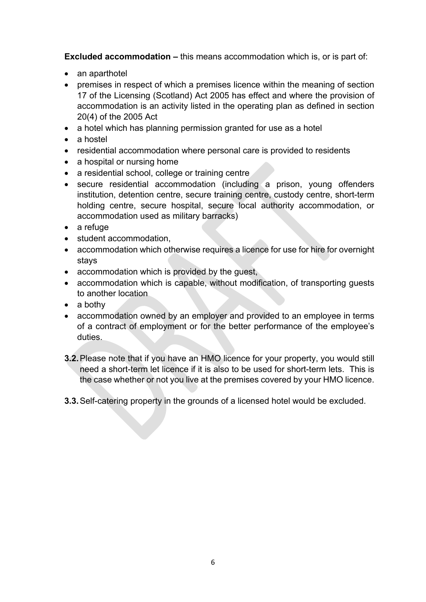**Excluded accommodation –** this means accommodation which is, or is part of:

- an aparthotel
- premises in respect of which a premises licence within the meaning of section 17 of the Licensing (Scotland) Act 2005 has effect and where the provision of accommodation is an activity listed in the operating plan as defined in section 20(4) of the 2005 Act
- a hotel which has planning permission granted for use as a hotel
- a hostel
- residential accommodation where personal care is provided to residents
- a hospital or nursing home
- a residential school, college or training centre
- secure residential accommodation (including a prison, young offenders institution, detention centre, secure training centre, custody centre, short-term holding centre, secure hospital, secure local authority accommodation, or accommodation used as military barracks)
- a refuge
- student accommodation,
- accommodation which otherwise requires a licence for use for hire for overnight stays
- accommodation which is provided by the guest,
- accommodation which is capable, without modification, of transporting guests to another location
- a bothy
- accommodation owned by an employer and provided to an employee in terms of a contract of employment or for the better performance of the employee's duties.
- **3.2.**Please note that if you have an HMO licence for your property, you would still need a short-term let licence if it is also to be used for short-term lets. This is the case whether or not you live at the premises covered by your HMO licence.
- **3.3.**Self-catering property in the grounds of a licensed hotel would be excluded.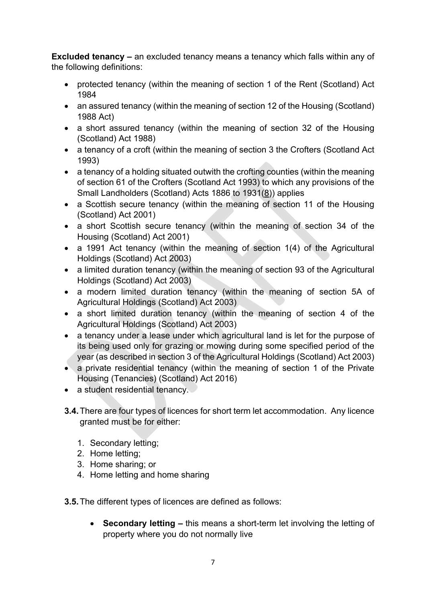**Excluded tenancy –** an excluded tenancy means a tenancy which falls within any of the following definitions:

- protected tenancy (within the meaning of section 1 of the Rent (Scotland) Act 1984
- an assured tenancy (within the meaning of section 12 of the Housing (Scotland) 1988 Act)
- a short assured tenancy (within the meaning of section 32 of the Housing (Scotland) Act 1988)
- a tenancy of a croft (within the meaning of section 3 the Crofters (Scotland Act 1993)
- a tenancy of a holding situated outwith the crofting counties (within the meaning of section 61 of the Crofters (Scotland Act 1993) to which any provisions of the Small Landholders (Scotland) Acts 1886 to 1931[\(8\)](https://www.legislation.gov.uk/sdsi/2022/9780111052396#f00008)) applies
- a Scottish secure tenancy (within the meaning of section 11 of the Housing (Scotland) Act 2001)
- a short Scottish secure tenancy (within the meaning of section 34 of the Housing (Scotland) Act 2001)
- a 1991 Act tenancy (within the meaning of section 1(4) of the Agricultural Holdings (Scotland) Act 2003)
- a limited duration tenancy (within the meaning of section 93 of the Agricultural Holdings (Scotland) Act 2003)
- a modern limited duration tenancy (within the meaning of section 5A of Agricultural Holdings (Scotland) Act 2003)
- a short limited duration tenancy (within the meaning of section 4 of the Agricultural Holdings (Scotland) Act 2003)
- a tenancy under a lease under which agricultural land is let for the purpose of its being used only for grazing or mowing during some specified period of the year (as described in section 3 of the Agricultural Holdings (Scotland) Act 2003)
- a private residential tenancy (within the meaning of section 1 of the Private Housing (Tenancies) (Scotland) Act 2016)
- a student residential tenancy.
- **3.4.**There are four types of licences for short term let accommodation. Any licence granted must be for either:
	- 1. Secondary letting;
	- 2. Home letting;
	- 3. Home sharing; or
	- 4. Home letting and home sharing

**3.5.**The different types of licences are defined as follows:

• **Secondary letting –** this means a short-term let involving the letting of property where you do not normally live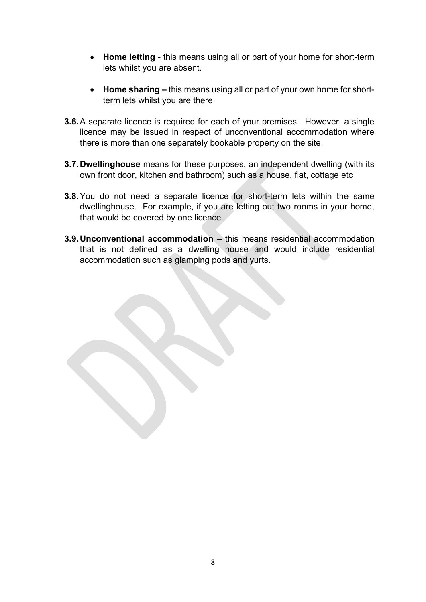- **Home letting** this means using all or part of your home for short-term lets whilst you are absent.
- **Home sharing –** this means using all or part of your own home for shortterm lets whilst you are there
- **3.6.**A separate licence is required for each of your premises. However, a single licence may be issued in respect of unconventional accommodation where there is more than one separately bookable property on the site.
- **3.7.Dwellinghouse** means for these purposes, an independent dwelling (with its own front door, kitchen and bathroom) such as a house, flat, cottage etc
- **3.8.**You do not need a separate licence for short-term lets within the same dwellinghouse. For example, if you are letting out two rooms in your home, that would be covered by one licence.
- **3.9.Unconventional accommodation** this means residential accommodation that is not defined as a dwelling house and would include residential accommodation such as glamping pods and yurts.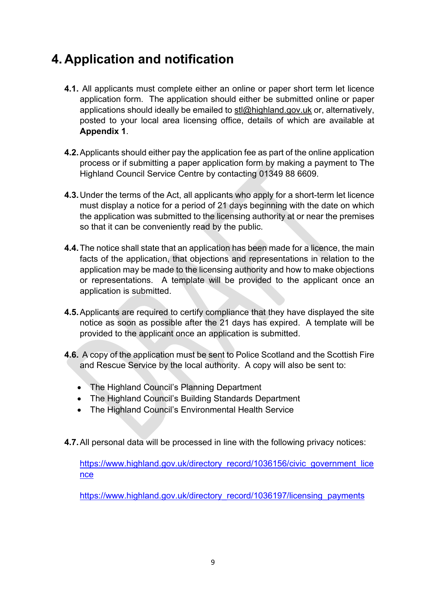### **4. Application and notification**

- **4.1.** All applicants must complete either an online or paper short term let licence application form. The application should either be submitted online or paper applications should ideally be emailed to [stl@highland.gov.uk](mailto:stl@highland.gov.uk) or, alternatively, posted to your local area licensing office, details of which are available at **Appendix 1**.
- **4.2.**Applicants should either pay the application fee as part of the online application process or if submitting a paper application form by making a payment to The Highland Council Service Centre by contacting 01349 88 6609.
- **4.3.**Under the terms of the Act, all applicants who apply for a short-term let licence must display a notice for a period of 21 days beginning with the date on which the application was submitted to the licensing authority at or near the premises so that it can be conveniently read by the public.
- **4.4.**The notice shall state that an application has been made for a licence, the main facts of the application, that objections and representations in relation to the application may be made to the licensing authority and how to make objections or representations. A template will be provided to the applicant once an application is submitted.
- **4.5.**Applicants are required to certify compliance that they have displayed the site notice as soon as possible after the 21 days has expired. A template will be provided to the applicant once an application is submitted.
- **4.6.** A copy of the application must be sent to Police Scotland and the Scottish Fire and Rescue Service by the local authority. A copy will also be sent to:
	- The Highland Council's Planning Department
	- The Highland Council's Building Standards Department
	- The Highland Council's Environmental Health Service
- **4.7.**All personal data will be processed in line with the following privacy notices:

[https://www.highland.gov.uk/directory\\_record/1036156/civic\\_government\\_lice](https://www.highland.gov.uk/directory_record/1036156/civic_government_licence) [nce](https://www.highland.gov.uk/directory_record/1036156/civic_government_licence)

[https://www.highland.gov.uk/directory\\_record/1036197/licensing\\_payments](https://www.highland.gov.uk/directory_record/1036197/licensing_payments)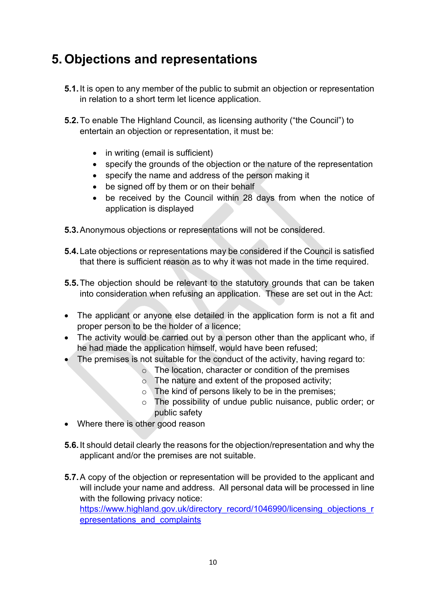## **5. Objections and representations**

- **5.1.**It is open to any member of the public to submit an objection or representation in relation to a short term let licence application.
- **5.2.**To enable The Highland Council, as licensing authority ("the Council") to entertain an objection or representation, it must be:
	- in writing (email is sufficient)
	- specify the grounds of the objection or the nature of the representation
	- specify the name and address of the person making it
	- be signed off by them or on their behalf
	- be received by the Council within 28 days from when the notice of application is displayed
- **5.3.**Anonymous objections or representations will not be considered.
- **5.4.**Late objections or representations may be considered if the Council is satisfied that there is sufficient reason as to why it was not made in the time required.
- **5.5.**The objection should be relevant to the statutory grounds that can be taken into consideration when refusing an application. These are set out in the Act:
- The applicant or anyone else detailed in the application form is not a fit and proper person to be the holder of a licence;
- The activity would be carried out by a person other than the applicant who, if he had made the application himself, would have been refused;
- The premises is not suitable for the conduct of the activity, having regard to:
	- o The location, character or condition of the premises
	- $\circ$  The nature and extent of the proposed activity;
	- $\circ$  The kind of persons likely to be in the premises;
	- o The possibility of undue public nuisance, public order; or public safety
- Where there is other good reason
- **5.6.**It should detail clearly the reasons for the objection/representation and why the applicant and/or the premises are not suitable.
- **5.7.**A copy of the objection or representation will be provided to the applicant and will include your name and address. All personal data will be processed in line with the following privacy notice: [https://www.highland.gov.uk/directory\\_record/1046990/licensing\\_objections\\_r](https://www.highland.gov.uk/directory_record/1046990/licensing_objections_representations_and_complaints) [epresentations\\_and\\_complaints](https://www.highland.gov.uk/directory_record/1046990/licensing_objections_representations_and_complaints)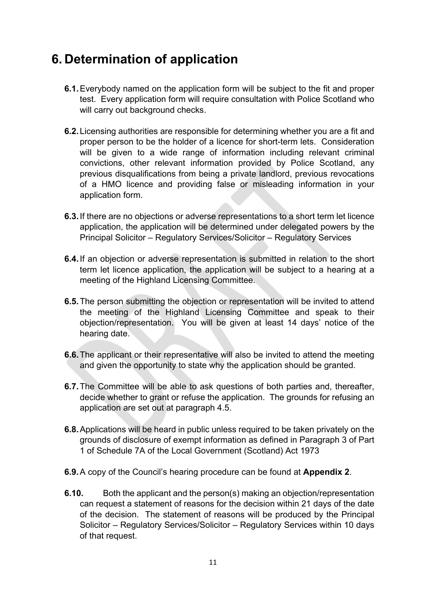### **6. Determination of application**

- **6.1.**Everybody named on the application form will be subject to the fit and proper test. Every application form will require consultation with Police Scotland who will carry out background checks.
- **6.2.**Licensing authorities are responsible for determining whether you are a fit and proper person to be the holder of a licence for short-term lets. Consideration will be given to a wide range of information including relevant criminal convictions, other relevant information provided by Police Scotland, any previous disqualifications from being a private landlord, previous revocations of a HMO licence and providing false or misleading information in your application form.
- **6.3.**If there are no objections or adverse representations to a short term let licence application, the application will be determined under delegated powers by the Principal Solicitor – Regulatory Services/Solicitor – Regulatory Services
- **6.4.**If an objection or adverse representation is submitted in relation to the short term let licence application, the application will be subject to a hearing at a meeting of the Highland Licensing Committee.
- **6.5.**The person submitting the objection or representation will be invited to attend the meeting of the Highland Licensing Committee and speak to their objection/representation. You will be given at least 14 days' notice of the hearing date.
- **6.6.**The applicant or their representative will also be invited to attend the meeting and given the opportunity to state why the application should be granted.
- **6.7.**The Committee will be able to ask questions of both parties and, thereafter, decide whether to grant or refuse the application. The grounds for refusing an application are set out at paragraph 4.5.
- **6.8.**Applications will be heard in public unless required to be taken privately on the grounds of disclosure of exempt information as defined in Paragraph 3 of Part 1 of Schedule 7A of the Local Government (Scotland) Act 1973
- **6.9.**A copy of the Council's hearing procedure can be found at **Appendix 2**.
- **6.10.** Both the applicant and the person(s) making an objection/representation can request a statement of reasons for the decision within 21 days of the date of the decision. The statement of reasons will be produced by the Principal Solicitor – Regulatory Services/Solicitor – Regulatory Services within 10 days of that request.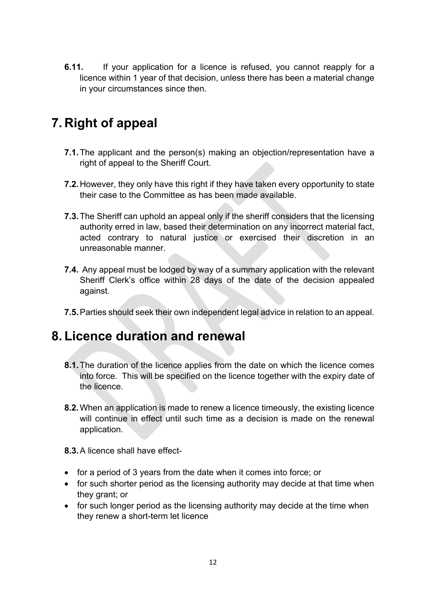**6.11.** If your application for a licence is refused, you cannot reapply for a licence within 1 year of that decision, unless there has been a material change in your circumstances since then.

# **7. Right of appeal**

- **7.1.**The applicant and the person(s) making an objection/representation have a right of appeal to the Sheriff Court.
- **7.2.**However, they only have this right if they have taken every opportunity to state their case to the Committee as has been made available.
- **7.3.**The Sheriff can uphold an appeal only if the sheriff considers that the licensing authority erred in law, based their determination on any incorrect material fact, acted contrary to natural justice or exercised their discretion in an unreasonable manner.
- **7.4.** Any appeal must be lodged by way of a summary application with the relevant Sheriff Clerk's office within 28 days of the date of the decision appealed against.
- **7.5.**Parties should seek their own independent legal advice in relation to an appeal.

### **8. Licence duration and renewal**

- **8.1.**The duration of the licence applies from the date on which the licence comes into force. This will be specified on the licence together with the expiry date of the licence.
- **8.2.**When an application is made to renew a licence timeously, the existing licence will continue in effect until such time as a decision is made on the renewal application.
- **8.3.**A licence shall have effect-
- for a period of 3 years from the date when it comes into force; or
- for such shorter period as the licensing authority may decide at that time when they grant; or
- for such longer period as the licensing authority may decide at the time when they renew a short-term let licence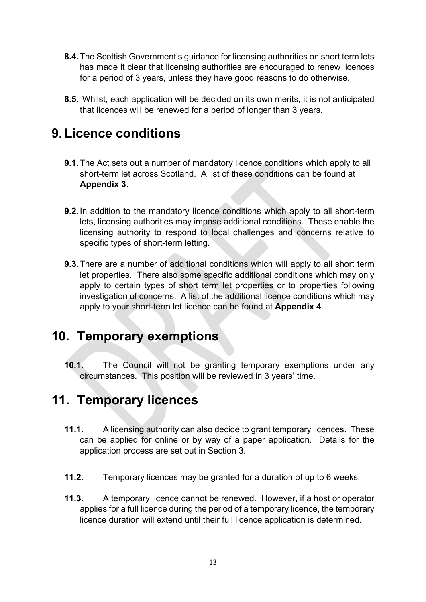- **8.4.**The Scottish Government's guidance for licensing authorities on short term lets has made it clear that licensing authorities are encouraged to renew licences for a period of 3 years, unless they have good reasons to do otherwise.
- **8.5.** Whilst, each application will be decided on its own merits, it is not anticipated that licences will be renewed for a period of longer than 3 years.

### **9. Licence conditions**

- **9.1.**The Act sets out a number of mandatory licence conditions which apply to all short-term let across Scotland. A list of these conditions can be found at **Appendix 3**.
- **9.2.**In addition to the mandatory licence conditions which apply to all short-term lets, licensing authorities may impose additional conditions. These enable the licensing authority to respond to local challenges and concerns relative to specific types of short-term letting.
- **9.3.**There are a number of additional conditions which will apply to all short term let properties. There also some specific additional conditions which may only apply to certain types of short term let properties or to properties following investigation of concerns. A list of the additional licence conditions which may apply to your short-term let licence can be found at **Appendix 4**.

### **10. Temporary exemptions**

**10.1.** The Council will not be granting temporary exemptions under any circumstances. This position will be reviewed in 3 years' time.

### **11. Temporary licences**

- **11.1.** A licensing authority can also decide to grant temporary licences. These can be applied for online or by way of a paper application. Details for the application process are set out in Section 3.
- **11.2.** Temporary licences may be granted for a duration of up to 6 weeks.
- **11.3.** A temporary licence cannot be renewed. However, if a host or operator applies for a full licence during the period of a temporary licence, the temporary licence duration will extend until their full licence application is determined.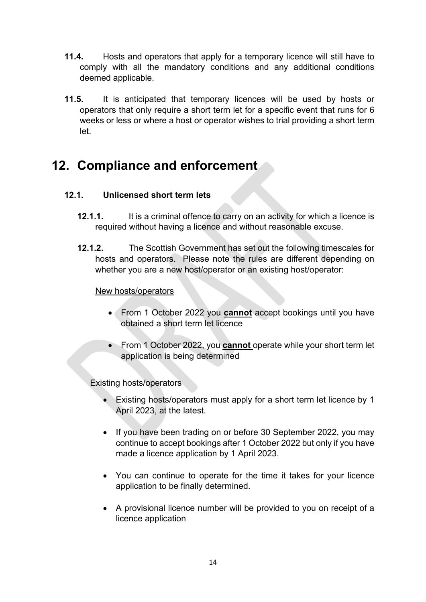- **11.4.** Hosts and operators that apply for a temporary licence will still have to comply with all the mandatory conditions and any additional conditions deemed applicable.
- **11.5.** It is anticipated that temporary licences will be used by hosts or operators that only require a short term let for a specific event that runs for 6 weeks or less or where a host or operator wishes to trial providing a short term let.

## **12. Compliance and enforcement**

### **12.1. Unlicensed short term lets**

- **12.1.1.** It is a criminal offence to carry on an activity for which a licence is required without having a licence and without reasonable excuse.
- **12.1.2.** The Scottish Government has set out the following timescales for hosts and operators. Please note the rules are different depending on whether you are a new host/operator or an existing host/operator:

#### New hosts/operators

- From 1 October 2022 you **cannot** accept bookings until you have obtained a short term let licence
- From 1 October 2022, you **cannot** operate while your short term let application is being determined

Existing hosts/operators

- Existing hosts/operators must apply for a short term let licence by 1 April 2023, at the latest.
- If you have been trading on or before 30 September 2022, you may continue to accept bookings after 1 October 2022 but only if you have made a licence application by 1 April 2023.
- You can continue to operate for the time it takes for your licence application to be finally determined.
- A provisional licence number will be provided to you on receipt of a licence application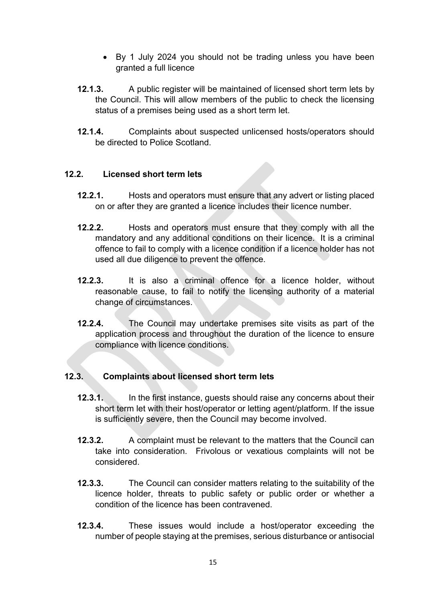- By 1 July 2024 you should not be trading unless you have been granted a full licence
- **12.1.3.** A public register will be maintained of licensed short term lets by the Council. This will allow members of the public to check the licensing status of a premises being used as a short term let.
- **12.1.4.** Complaints about suspected unlicensed hosts/operators should be directed to Police Scotland.

#### **12.2. Licensed short term lets**

- **12.2.1.** Hosts and operators must ensure that any advert or listing placed on or after they are granted a licence includes their licence number.
- **12.2.2.** Hosts and operators must ensure that they comply with all the mandatory and any additional conditions on their licence. It is a criminal offence to fail to comply with a licence condition if a licence holder has not used all due diligence to prevent the offence.
- **12.2.3.** It is also a criminal offence for a licence holder, without reasonable cause, to fail to notify the licensing authority of a material change of circumstances.
- **12.2.4.** The Council may undertake premises site visits as part of the application process and throughout the duration of the licence to ensure compliance with licence conditions.

#### **12.3. Complaints about licensed short term lets**

- **12.3.1.** In the first instance, guests should raise any concerns about their short term let with their host/operator or letting agent/platform. If the issue is sufficiently severe, then the Council may become involved.
- **12.3.2.** A complaint must be relevant to the matters that the Council can take into consideration. Frivolous or vexatious complaints will not be considered.
- **12.3.3.** The Council can consider matters relating to the suitability of the licence holder, threats to public safety or public order or whether a condition of the licence has been contravened.
- **12.3.4.** These issues would include a host/operator exceeding the number of people staying at the premises, serious disturbance or antisocial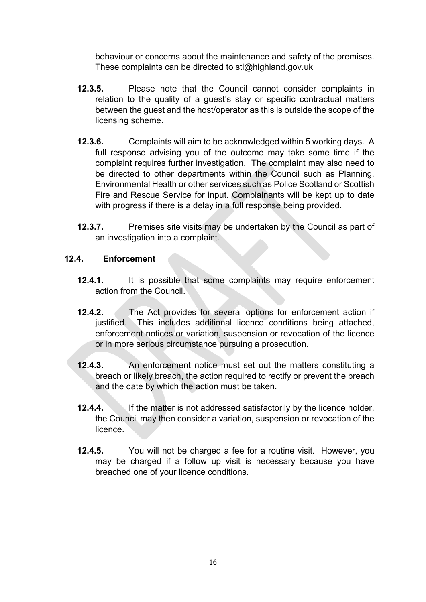behaviour or concerns about the maintenance and safety of the premises. These complaints can be directed to stl@highland.gov.uk

- **12.3.5.** Please note that the Council cannot consider complaints in relation to the quality of a guest's stay or specific contractual matters between the guest and the host/operator as this is outside the scope of the licensing scheme.
- **12.3.6.** Complaints will aim to be acknowledged within 5 working days. A full response advising you of the outcome may take some time if the complaint requires further investigation. The complaint may also need to be directed to other departments within the Council such as Planning, Environmental Health or other services such as Police Scotland or Scottish Fire and Rescue Service for input. Complainants will be kept up to date with progress if there is a delay in a full response being provided.
- **12.3.7.** Premises site visits may be undertaken by the Council as part of an investigation into a complaint.

#### **12.4. Enforcement**

- **12.4.1.** It is possible that some complaints may require enforcement action from the Council.
- **12.4.2.** The Act provides for several options for enforcement action if justified. This includes additional licence conditions being attached, enforcement notices or variation, suspension or revocation of the licence or in more serious circumstance pursuing a prosecution.
- **12.4.3.** An enforcement notice must set out the matters constituting a breach or likely breach, the action required to rectify or prevent the breach and the date by which the action must be taken.
- **12.4.4.** If the matter is not addressed satisfactorily by the licence holder, the Council may then consider a variation, suspension or revocation of the licence.
- **12.4.5.** You will not be charged a fee for a routine visit. However, you may be charged if a follow up visit is necessary because you have breached one of your licence conditions.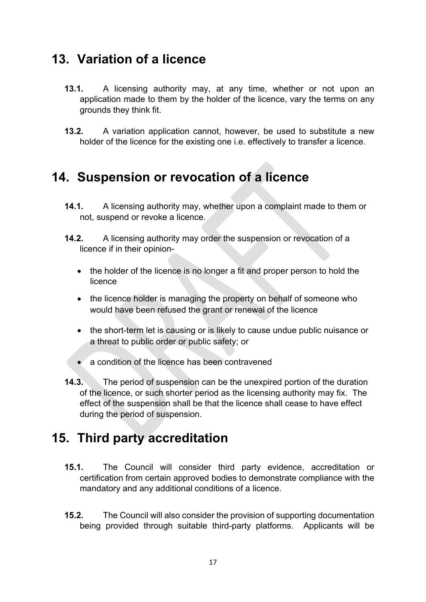### **13. Variation of a licence**

- **13.1.** A licensing authority may, at any time, whether or not upon an application made to them by the holder of the licence, vary the terms on any grounds they think fit.
- **13.2.** A variation application cannot, however, be used to substitute a new holder of the licence for the existing one i.e. effectively to transfer a licence.

### **14. Suspension or revocation of a licence**

- **14.1.** A licensing authority may, whether upon a complaint made to them or not, suspend or revoke a licence.
- **14.2.** A licensing authority may order the suspension or revocation of a licence if in their opinion-
	- the holder of the licence is no longer a fit and proper person to hold the licence
	- the licence holder is managing the property on behalf of someone who would have been refused the grant or renewal of the licence
	- the short-term let is causing or is likely to cause undue public nuisance or a threat to public order or public safety; or
	- a condition of the licence has been contravened
- **14.3.** The period of suspension can be the unexpired portion of the duration of the licence, or such shorter period as the licensing authority may fix. The effect of the suspension shall be that the licence shall cease to have effect during the period of suspension.

### **15. Third party accreditation**

- **15.1.** The Council will consider third party evidence, accreditation or certification from certain approved bodies to demonstrate compliance with the mandatory and any additional conditions of a licence.
- **15.2.** The Council will also consider the provision of supporting documentation being provided through suitable third-party platforms. Applicants will be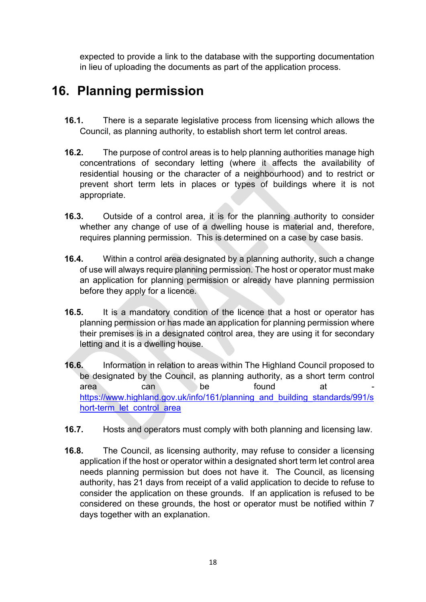expected to provide a link to the database with the supporting documentation in lieu of uploading the documents as part of the application process.

### **16. Planning permission**

- **16.1.** There is a separate legislative process from licensing which allows the Council, as planning authority, to establish short term let control areas.
- **16.2.** The purpose of control areas is to help planning authorities manage high concentrations of secondary letting (where it affects the availability of residential housing or the character of a neighbourhood) and to restrict or prevent short term lets in places or types of buildings where it is not appropriate.
- **16.3.** Outside of a control area, it is for the planning authority to consider whether any change of use of a dwelling house is material and, therefore, requires planning permission. This is determined on a case by case basis.
- **16.4.** Within a control area designated by a planning authority, such a change of use will always require planning permission. The host or operator must make an application for planning permission or already have planning permission before they apply for a licence.
- **16.5.** It is a mandatory condition of the licence that a host or operator has planning permission or has made an application for planning permission where their premises is in a designated control area, they are using it for secondary letting and it is a dwelling house.
- **16.6.** Information in relation to areas within The Highland Council proposed to be designated by the Council, as planning authority, as a short term control area can be found at [https://www.highland.gov.uk/info/161/planning\\_and\\_building\\_standards/991/s](https://www.highland.gov.uk/info/161/planning_and_building_standards/991/short-term_let_control_area) [hort-term\\_let\\_control\\_area](https://www.highland.gov.uk/info/161/planning_and_building_standards/991/short-term_let_control_area)
- **16.7.** Hosts and operators must comply with both planning and licensing law.
- **16.8.** The Council, as licensing authority, may refuse to consider a licensing application if the host or operator within a designated short term let control area needs planning permission but does not have it. The Council, as licensing authority, has 21 days from receipt of a valid application to decide to refuse to consider the application on these grounds. If an application is refused to be considered on these grounds, the host or operator must be notified within 7 days together with an explanation.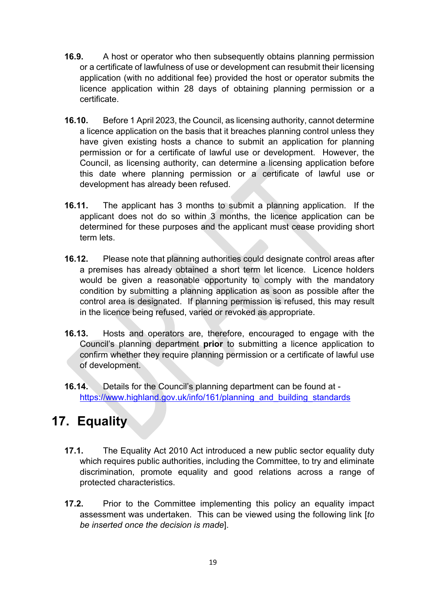- **16.9.** A host or operator who then subsequently obtains planning permission or a certificate of lawfulness of use or development can resubmit their licensing application (with no additional fee) provided the host or operator submits the licence application within 28 days of obtaining planning permission or a certificate.
- **16.10.** Before 1 April 2023, the Council, as licensing authority, cannot determine a licence application on the basis that it breaches planning control unless they have given existing hosts a chance to submit an application for planning permission or for a certificate of lawful use or development. However, the Council, as licensing authority, can determine a licensing application before this date where planning permission or a certificate of lawful use or development has already been refused.
- **16.11.** The applicant has 3 months to submit a planning application. If the applicant does not do so within 3 months, the licence application can be determined for these purposes and the applicant must cease providing short term lets.
- **16.12.** Please note that planning authorities could designate control areas after a premises has already obtained a short term let licence. Licence holders would be given a reasonable opportunity to comply with the mandatory condition by submitting a planning application as soon as possible after the control area is designated. If planning permission is refused, this may result in the licence being refused, varied or revoked as appropriate.
- **16.13.** Hosts and operators are, therefore, encouraged to engage with the Council's planning department **prior** to submitting a licence application to confirm whether they require planning permission or a certificate of lawful use of development.
- **16.14.** Details for the Council's planning department can be found at [https://www.highland.gov.uk/info/161/planning\\_and\\_building\\_standards](https://www.highland.gov.uk/info/161/planning_and_building_standards)

### **17. Equality**

- **17.1.** The Equality Act 2010 Act introduced a new public sector equality duty which requires public authorities, including the Committee, to try and eliminate discrimination, promote equality and good relations across a range of protected characteristics.
- **17.2.** Prior to the Committee implementing this policy an equality impact assessment was undertaken. This can be viewed using the following link [*to be inserted once the decision is made*].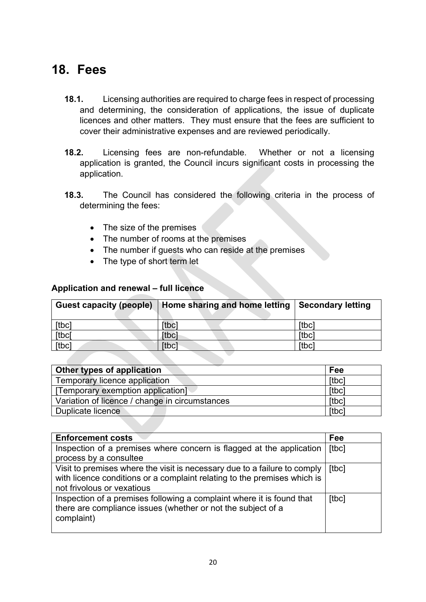### **18. Fees**

- **18.1.** Licensing authorities are required to charge fees in respect of processing and determining, the consideration of applications, the issue of duplicate licences and other matters. They must ensure that the fees are sufficient to cover their administrative expenses and are reviewed periodically.
- **18.2.** Licensing fees are non-refundable. Whether or not a licensing application is granted, the Council incurs significant costs in processing the application.
- **18.3.** The Council has considered the following criteria in the process of determining the fees:
	- The size of the premises
	- The number of rooms at the premises
	- The number if guests who can reside at the premises
	- The type of short term let

| <b>Guest capacity (people)</b> | Home sharing and home letting | Secondary letting |
|--------------------------------|-------------------------------|-------------------|
| [tbc]                          | <b>ftbcl</b>                  | [tbc]             |
| [tbc]                          | <b>Itbcl</b>                  | [tbc]             |
| [tbc]                          | <b>Itbcl</b>                  | [tbc]             |

| <b>Other types of application</b>              | Fee   |
|------------------------------------------------|-------|
| Temporary licence application                  | [tbc] |
| [Temporary exemption application]              | [tbc] |
| Variation of licence / change in circumstances | [tbc] |
| Duplicate licence                              | [tbc] |

| <b>Enforcement costs</b>                                                                                                                                                            | Fee   |
|-------------------------------------------------------------------------------------------------------------------------------------------------------------------------------------|-------|
| Inspection of a premises where concern is flagged at the application<br>process by a consultee                                                                                      | [tbc] |
| Visit to premises where the visit is necessary due to a failure to comply<br>with licence conditions or a complaint relating to the premises which is<br>not frivolous or vexatious | [tbc] |
| Inspection of a premises following a complaint where it is found that<br>there are compliance issues (whether or not the subject of a<br>complaint)                                 | [tbc] |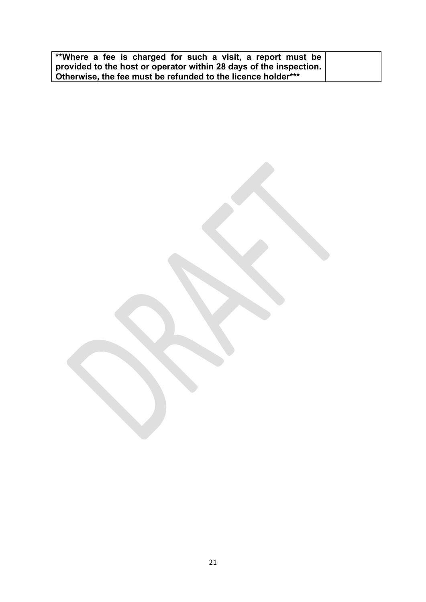| **Where a fee is charged for such a visit, a report must be        |  |  |
|--------------------------------------------------------------------|--|--|
| provided to the host or operator within 28 days of the inspection. |  |  |
| Otherwise, the fee must be refunded to the licence holder***       |  |  |

21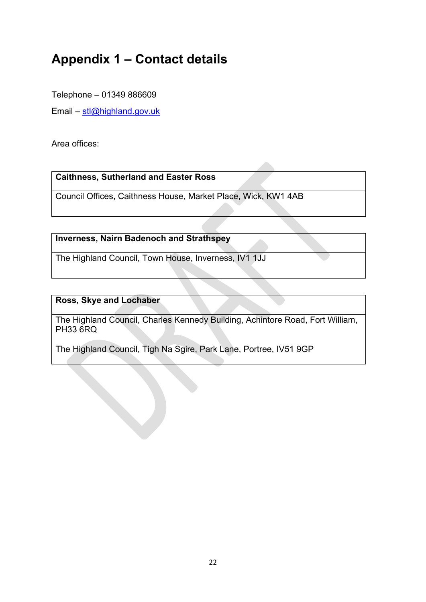## **Appendix 1 – Contact details**

Telephone – 01349 886609

Email –  $\frac{\text{stl@highland.gov.uk}}{}$  $\frac{\text{stl@highland.gov.uk}}{}$  $\frac{\text{stl@highland.gov.uk}}{}$ 

Area offices:

**Caithness, Sutherland and Easter Ross**

Council Offices, Caithness House, Market Place, Wick, KW1 4AB

#### **Inverness, Nairn Badenoch and Strathspey**

The Highland Council, Town House, Inverness, IV1 1JJ

#### **Ross, Skye and Lochaber**

The Highland Council, Charles Kennedy Building, Achintore Road, Fort William, PH33 6RQ

The Highland Council, Tigh Na Sgire, Park Lane, Portree, IV51 9GP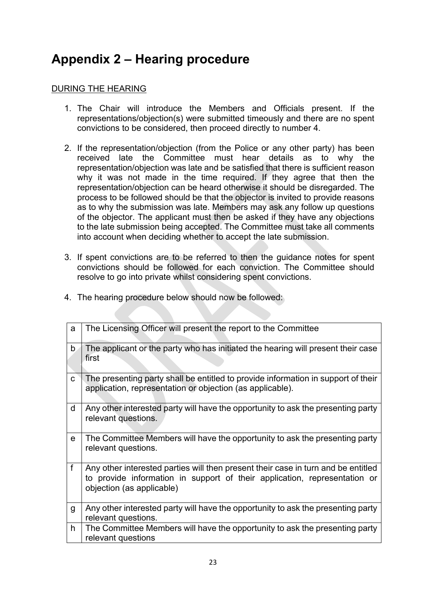## **Appendix 2 – Hearing procedure**

#### DURING THE HEARING

- 1. The Chair will introduce the Members and Officials present. If the representations/objection(s) were submitted timeously and there are no spent convictions to be considered, then proceed directly to number 4.
- 2. If the representation/objection (from the Police or any other party) has been received late the Committee must hear details as to why the representation/objection was late and be satisfied that there is sufficient reason why it was not made in the time required. If they agree that then the representation/objection can be heard otherwise it should be disregarded. The process to be followed should be that the objector is invited to provide reasons as to why the submission was late. Members may ask any follow up questions of the objector. The applicant must then be asked if they have any objections to the late submission being accepted. The Committee must take all comments into account when deciding whether to accept the late submission.
- 3. If spent convictions are to be referred to then the guidance notes for spent convictions should be followed for each conviction. The Committee should resolve to go into private whilst considering spent convictions.

| a            | The Licensing Officer will present the report to the Committee                                                                                                                              |
|--------------|---------------------------------------------------------------------------------------------------------------------------------------------------------------------------------------------|
| $\mathsf{b}$ | The applicant or the party who has initiated the hearing will present their case<br>first                                                                                                   |
| C            | The presenting party shall be entitled to provide information in support of their<br>application, representation or objection (as applicable).                                              |
| d            | Any other interested party will have the opportunity to ask the presenting party<br>relevant questions.                                                                                     |
| e            | The Committee Members will have the opportunity to ask the presenting party<br>relevant questions.                                                                                          |
| $\mathsf{f}$ | Any other interested parties will then present their case in turn and be entitled<br>to provide information in support of their application, representation or<br>objection (as applicable) |
| g            | Any other interested party will have the opportunity to ask the presenting party<br>relevant questions.                                                                                     |
| h.           | The Committee Members will have the opportunity to ask the presenting party<br>relevant questions                                                                                           |

4. The hearing procedure below should now be followed: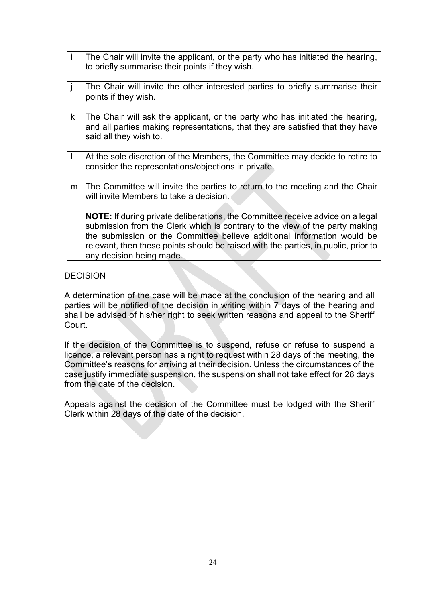| j.           | The Chair will invite the applicant, or the party who has initiated the hearing,<br>to briefly summarise their points if they wish.                                                                                                                                                                                                                               |
|--------------|-------------------------------------------------------------------------------------------------------------------------------------------------------------------------------------------------------------------------------------------------------------------------------------------------------------------------------------------------------------------|
| j            | The Chair will invite the other interested parties to briefly summarise their<br>points if they wish.                                                                                                                                                                                                                                                             |
| $\mathsf{k}$ | The Chair will ask the applicant, or the party who has initiated the hearing,<br>and all parties making representations, that they are satisfied that they have<br>said all they wish to.                                                                                                                                                                         |
| $\mathbf{I}$ | At the sole discretion of the Members, the Committee may decide to retire to<br>consider the representations/objections in private.                                                                                                                                                                                                                               |
| m            | The Committee will invite the parties to return to the meeting and the Chair<br>will invite Members to take a decision.                                                                                                                                                                                                                                           |
|              | <b>NOTE:</b> If during private deliberations, the Committee receive advice on a legal<br>submission from the Clerk which is contrary to the view of the party making<br>the submission or the Committee believe additional information would be<br>relevant, then these points should be raised with the parties, in public, prior to<br>any decision being made. |

#### **DECISION**

A determination of the case will be made at the conclusion of the hearing and all parties will be notified of the decision in writing within 7 days of the hearing and shall be advised of his/her right to seek written reasons and appeal to the Sheriff Court.

If the decision of the Committee is to suspend, refuse or refuse to suspend a licence, a relevant person has a right to request within 28 days of the meeting, the Committee's reasons for arriving at their decision. Unless the circumstances of the case justify immediate suspension, the suspension shall not take effect for 28 days from the date of the decision.

Appeals against the decision of the Committee must be lodged with the Sheriff Clerk within 28 days of the date of the decision.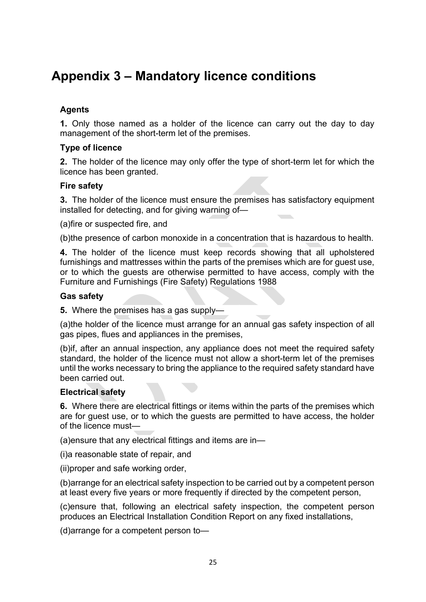### **Appendix 3 – Mandatory licence conditions**

#### **Agents**

**1.** Only those named as a holder of the licence can carry out the day to day management of the short-term let of the premises.

#### **Type of licence**

**2.** The holder of the licence may only offer the type of short-term let for which the licence has been granted.

#### **Fire safety**

**3.** The holder of the licence must ensure the premises has satisfactory equipment installed for detecting, and for giving warning of—

(a)fire or suspected fire, and

(b)the presence of carbon monoxide in a concentration that is hazardous to health.

**4.** The holder of the licence must keep records showing that all upholstered furnishings and mattresses within the parts of the premises which are for guest use, or to which the guests are otherwise permitted to have access, comply with the Furniture and Furnishings (Fire Safety) Regulations 1988

#### **Gas safety**

**5.** Where the premises has a gas supply—

(a)the holder of the licence must arrange for an annual gas safety inspection of all gas pipes, flues and appliances in the premises,

(b)if, after an annual inspection, any appliance does not meet the required safety standard, the holder of the licence must not allow a short-term let of the premises until the works necessary to bring the appliance to the required safety standard have been carried out.

#### **Electrical safety**

**6.** Where there are electrical fittings or items within the parts of the premises which are for guest use, or to which the guests are permitted to have access, the holder of the licence must—

(a)ensure that any electrical fittings and items are in—

(i)a reasonable state of repair, and

(ii)proper and safe working order,

(b)arrange for an electrical safety inspection to be carried out by a competent person at least every five years or more frequently if directed by the competent person,

(c)ensure that, following an electrical safety inspection, the competent person produces an Electrical Installation Condition Report on any fixed installations,

(d)arrange for a competent person to—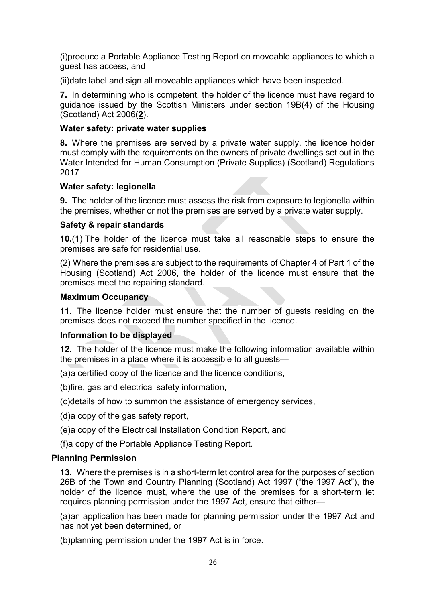(i)produce a Portable Appliance Testing Report on moveable appliances to which a guest has access, and

(ii)date label and sign all moveable appliances which have been inspected.

**7.** In determining who is competent, the holder of the licence must have regard to guidance issued by the Scottish Ministers under section 19B(4) of the Housing (Scotland) Act 2006(**[2](https://www.legislation.gov.uk/sdsi/2022/9780111052396/schedule/3#f00022)**).

#### **Water safety: private water supplies**

**8.** Where the premises are served by a private water supply, the licence holder must comply with the requirements on the owners of private dwellings set out in the Water Intended for Human Consumption (Private Supplies) (Scotland) Regulations 2017

#### **Water safety: legionella**

**9.** The holder of the licence must assess the risk from exposure to legionella within the premises, whether or not the premises are served by a private water supply.

#### **Safety & repair standards**

**10.**(1) The holder of the licence must take all reasonable steps to ensure the premises are safe for residential use.

(2) Where the premises are subject to the requirements of Chapter 4 of Part 1 of the Housing (Scotland) Act 2006, the holder of the licence must ensure that the premises meet the repairing standard.

#### **Maximum Occupancy**

**11.** The licence holder must ensure that the number of guests residing on the premises does not exceed the number specified in the licence.

#### **Information to be displayed**

**12.** The holder of the licence must make the following information available within the premises in a place where it is accessible to all quests—

(a)a certified copy of the licence and the licence conditions,

(b)fire, gas and electrical safety information,

(c)details of how to summon the assistance of emergency services,

(d)a copy of the gas safety report,

(e)a copy of the Electrical Installation Condition Report, and

(f)a copy of the Portable Appliance Testing Report.

#### **Planning Permission**

**13.** Where the premises is in a short-term let control area for the purposes of section 26B of the Town and Country Planning (Scotland) Act 1997 ("the 1997 Act"), the holder of the licence must, where the use of the premises for a short-term let requires planning permission under the 1997 Act, ensure that either—

(a)an application has been made for planning permission under the 1997 Act and has not yet been determined, or

(b)planning permission under the 1997 Act is in force.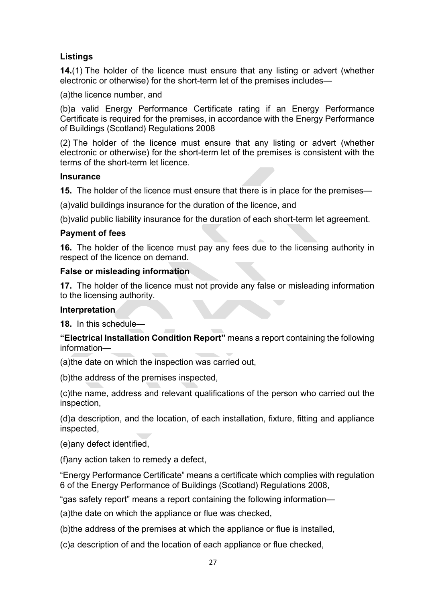#### **Listings**

**14.**(1) The holder of the licence must ensure that any listing or advert (whether electronic or otherwise) for the short-term let of the premises includes—

(a)the licence number, and

(b)a valid Energy Performance Certificate rating if an Energy Performance Certificate is required for the premises, in accordance with the Energy Performance of Buildings (Scotland) Regulations 2008

(2) The holder of the licence must ensure that any listing or advert (whether electronic or otherwise) for the short-term let of the premises is consistent with the terms of the short-term let licence.

#### **Insurance**

**15.** The holder of the licence must ensure that there is in place for the premises—

(a)valid buildings insurance for the duration of the licence, and

(b)valid public liability insurance for the duration of each short-term let agreement.

#### **Payment of fees**

**16.** The holder of the licence must pay any fees due to the licensing authority in respect of the licence on demand.

#### **False or misleading information**

**17.** The holder of the licence must not provide any false or misleading information to the licensing authority.

#### **Interpretation**

**18.** In this schedule—

**"Electrical Installation Condition Report"** means a report containing the following information—

(a)the date on which the inspection was carried out,

(b)the address of the premises inspected,

(c)the name, address and relevant qualifications of the person who carried out the inspection,

(d)a description, and the location, of each installation, fixture, fitting and appliance inspected,

(e)any defect identified,

(f)any action taken to remedy a defect,

"Energy Performance Certificate" means a certificate which complies with regulation 6 of the Energy Performance of Buildings (Scotland) Regulations 2008,

"gas safety report" means a report containing the following information—

(a)the date on which the appliance or flue was checked,

(b)the address of the premises at which the appliance or flue is installed,

(c)a description of and the location of each appliance or flue checked,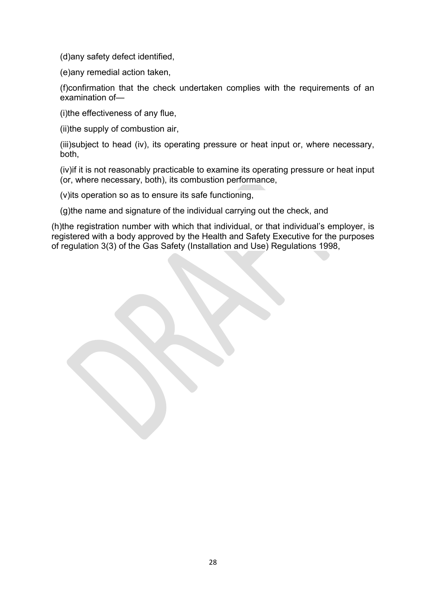(d)any safety defect identified,

(e)any remedial action taken,

(f)confirmation that the check undertaken complies with the requirements of an examination of—

(i)the effectiveness of any flue,

(ii)the supply of combustion air,

(iii)subject to head (iv), its operating pressure or heat input or, where necessary, both,

(iv)if it is not reasonably practicable to examine its operating pressure or heat input (or, where necessary, both), its combustion performance,

(v)its operation so as to ensure its safe functioning,

(g)the name and signature of the individual carrying out the check, and

(h)the registration number with which that individual, or that individual's employer, is registered with a body approved by the Health and Safety Executive for the purposes of regulation 3(3) of the Gas Safety (Installation and Use) Regulations 1998,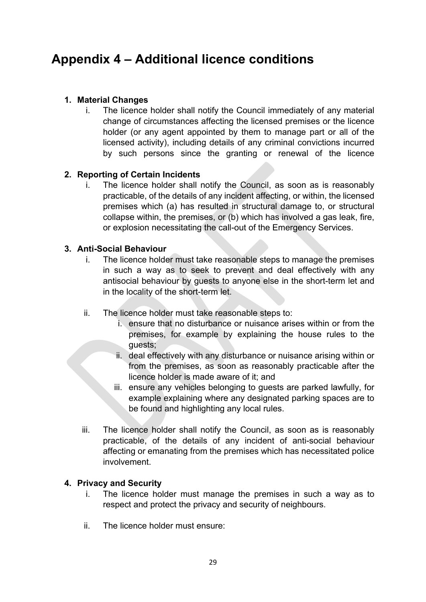### **Appendix 4 – Additional licence conditions**

#### **1. Material Changes**

i. The licence holder shall notify the Council immediately of any material change of circumstances affecting the licensed premises or the licence holder (or any agent appointed by them to manage part or all of the licensed activity), including details of any criminal convictions incurred by such persons since the granting or renewal of the licence

#### **2. Reporting of Certain Incidents**

i. The licence holder shall notify the Council, as soon as is reasonably practicable, of the details of any incident affecting, or within, the licensed premises which (a) has resulted in structural damage to, or structural collapse within, the premises, or (b) which has involved a gas leak, fire, or explosion necessitating the call-out of the Emergency Services.

#### **3. Anti-Social Behaviour**

- i. The licence holder must take reasonable steps to manage the premises in such a way as to seek to prevent and deal effectively with any antisocial behaviour by guests to anyone else in the short-term let and in the locality of the short-term let.
- ii. The licence holder must take reasonable steps to:
	- i. ensure that no disturbance or nuisance arises within or from the premises, for example by explaining the house rules to the guests;
	- ii. deal effectively with any disturbance or nuisance arising within or from the premises, as soon as reasonably practicable after the licence holder is made aware of it; and
	- iii. ensure any vehicles belonging to guests are parked lawfully, for example explaining where any designated parking spaces are to be found and highlighting any local rules.
- iii. The licence holder shall notify the Council, as soon as is reasonably practicable, of the details of any incident of anti-social behaviour affecting or emanating from the premises which has necessitated police involvement.

#### **4. Privacy and Security**

- i. The licence holder must manage the premises in such a way as to respect and protect the privacy and security of neighbours.
- ii. The licence holder must ensure: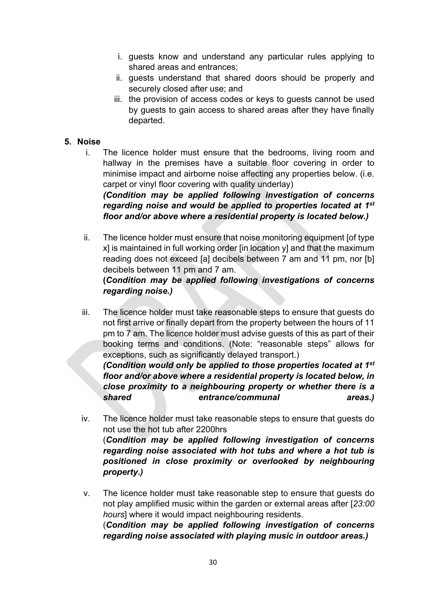- i. guests know and understand any particular rules applying to shared areas and entrances;
- ii. guests understand that shared doors should be properly and securely closed after use; and
- iii. the provision of access codes or keys to guests cannot be used by guests to gain access to shared areas after they have finally departed.

#### **5. Noise**

i. The licence holder must ensure that the bedrooms, living room and hallway in the premises have a suitable floor covering in order to minimise impact and airborne noise affecting any properties below. (i.e. carpet or vinyl floor covering with quality underlay)

*(Condition may be applied following investigation of concerns regarding noise and would be applied to properties located at 1st floor and/or above where a residential property is located below.)*

ii. The licence holder must ensure that noise monitoring equipment [of type x] is maintained in full working order [in location y] and that the maximum reading does not exceed [a] decibels between 7 am and 11 pm, nor [b] decibels between 11 pm and 7 am.

#### **(***Condition may be applied following investigations of concerns regarding noise.)*

iii. The licence holder must take reasonable steps to ensure that guests do not first arrive or finally depart from the property between the hours of 11 pm to 7 am. The licence holder must advise guests of this as part of their booking terms and conditions. (Note: "reasonable steps" allows for exceptions, such as significantly delayed transport.) *(Condition would only be applied to those properties located at 1st*

*floor and/or above where a residential property is located below, in close proximity to a neighbouring property or whether there is a shared entrance/communal areas.)*

- iv. The licence holder must take reasonable steps to ensure that guests do not use the hot tub after 2200hrs (*Condition may be applied following investigation of concerns regarding noise associated with hot tubs and where a hot tub is positioned in close proximity or overlooked by neighbouring property.)*
- v. The licence holder must take reasonable step to ensure that guests do not play amplified music within the garden or external areas after [*23:00 hours*] where it would impact neighbouring residents. (*Condition may be applied following investigation of concerns regarding noise associated with playing music in outdoor areas.)*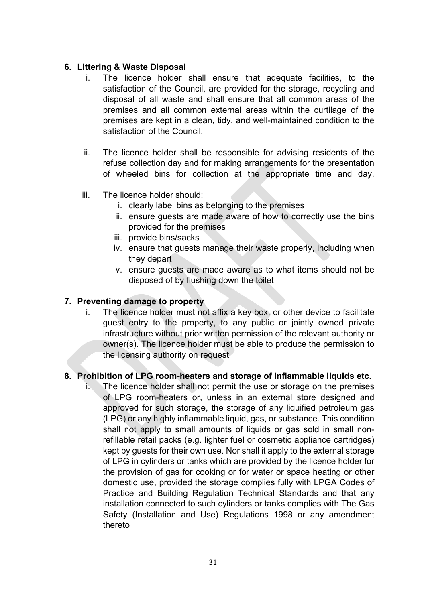#### **6. Littering & Waste Disposal**

- i. The licence holder shall ensure that adequate facilities, to the satisfaction of the Council, are provided for the storage, recycling and disposal of all waste and shall ensure that all common areas of the premises and all common external areas within the curtilage of the premises are kept in a clean, tidy, and well-maintained condition to the satisfaction of the Council.
- ii. The licence holder shall be responsible for advising residents of the refuse collection day and for making arrangements for the presentation of wheeled bins for collection at the appropriate time and day.
- iii. The licence holder should:
	- i. clearly label bins as belonging to the premises
	- ii. ensure guests are made aware of how to correctly use the bins provided for the premises
	- iii. provide bins/sacks
	- iv. ensure that guests manage their waste properly, including when they depart
	- v. ensure guests are made aware as to what items should not be disposed of by flushing down the toilet

#### **7. Preventing damage to property**

i. The licence holder must not affix a key box, or other device to facilitate guest entry to the property, to any public or jointly owned private infrastructure without prior written permission of the relevant authority or owner(s). The licence holder must be able to produce the permission to the licensing authority on request

#### **8. Prohibition of LPG room-heaters and storage of inflammable liquids etc.**

i. The licence holder shall not permit the use or storage on the premises of LPG room-heaters or, unless in an external store designed and approved for such storage, the storage of any liquified petroleum gas (LPG) or any highly inflammable liquid, gas, or substance. This condition shall not apply to small amounts of liquids or gas sold in small nonrefillable retail packs (e.g. lighter fuel or cosmetic appliance cartridges) kept by guests for their own use. Nor shall it apply to the external storage of LPG in cylinders or tanks which are provided by the licence holder for the provision of gas for cooking or for water or space heating or other domestic use, provided the storage complies fully with LPGA Codes of Practice and Building Regulation Technical Standards and that any installation connected to such cylinders or tanks complies with The Gas Safety (Installation and Use) Regulations 1998 or any amendment thereto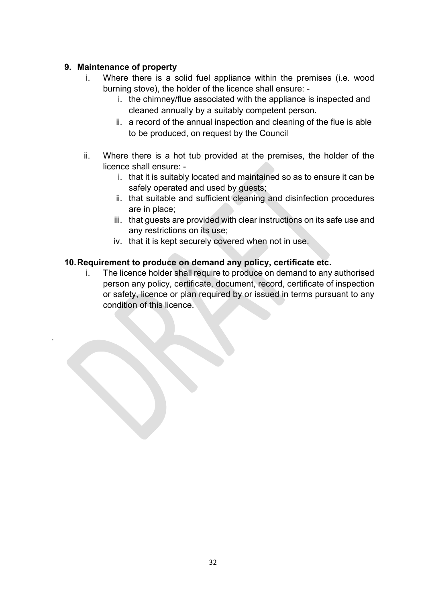#### **9. Maintenance of property**

.

- i. Where there is a solid fuel appliance within the premises (i.e. wood burning stove), the holder of the licence shall ensure:
	- i. the chimney/flue associated with the appliance is inspected and cleaned annually by a suitably competent person.
	- ii. a record of the annual inspection and cleaning of the flue is able to be produced, on request by the Council
- ii. Where there is a hot tub provided at the premises, the holder of the licence shall ensure:
	- i. that it is suitably located and maintained so as to ensure it can be safely operated and used by guests;
	- ii. that suitable and sufficient cleaning and disinfection procedures are in place;
	- iii. that guests are provided with clear instructions on its safe use and any restrictions on its use;
	- iv. that it is kept securely covered when not in use.

#### **10.Requirement to produce on demand any policy, certificate etc.**

i. The licence holder shall require to produce on demand to any authorised person any policy, certificate, document, record, certificate of inspection or safety, licence or plan required by or issued in terms pursuant to any condition of this licence.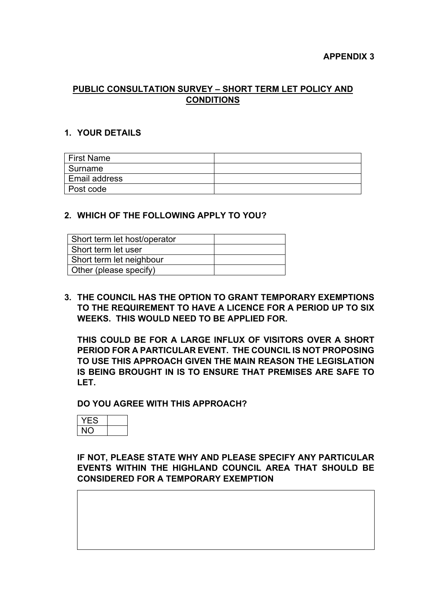#### **PUBLIC CONSULTATION SURVEY – SHORT TERM LET POLICY AND CONDITIONS**

#### **1. YOUR DETAILS**

| ∣ First Name  |  |
|---------------|--|
| l Surname     |  |
| Email address |  |
| Post code     |  |

#### **2. WHICH OF THE FOLLOWING APPLY TO YOU?**

| Short term let host/operator |  |
|------------------------------|--|
| Short term let user          |  |
| Short term let neighbour     |  |
| Other (please specify)       |  |

**3. THE COUNCIL HAS THE OPTION TO GRANT TEMPORARY EXEMPTIONS TO THE REQUIREMENT TO HAVE A LICENCE FOR A PERIOD UP TO SIX WEEKS. THIS WOULD NEED TO BE APPLIED FOR.** 

**THIS COULD BE FOR A LARGE INFLUX OF VISITORS OVER A SHORT PERIOD FOR A PARTICULAR EVENT. THE COUNCIL IS NOT PROPOSING TO USE THIS APPROACH GIVEN THE MAIN REASON THE LEGISLATION IS BEING BROUGHT IN IS TO ENSURE THAT PREMISES ARE SAFE TO LET.** 

**DO YOU AGREE WITH THIS APPROACH?**



**IF NOT, PLEASE STATE WHY AND PLEASE SPECIFY ANY PARTICULAR EVENTS WITHIN THE HIGHLAND COUNCIL AREA THAT SHOULD BE CONSIDERED FOR A TEMPORARY EXEMPTION**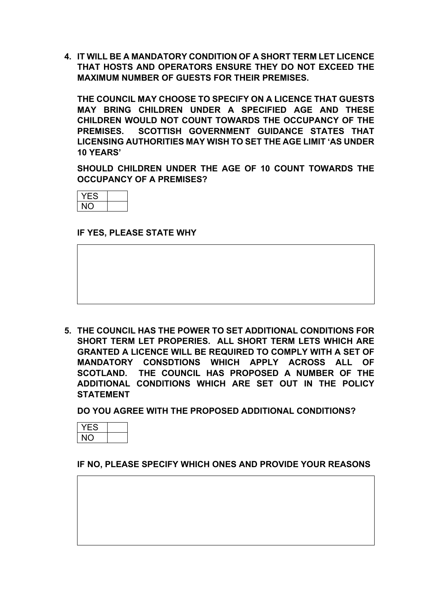**4. IT WILL BE A MANDATORY CONDITION OF A SHORT TERM LET LICENCE THAT HOSTS AND OPERATORS ENSURE THEY DO NOT EXCEED THE MAXIMUM NUMBER OF GUESTS FOR THEIR PREMISES.** 

**THE COUNCIL MAY CHOOSE TO SPECIFY ON A LICENCE THAT GUESTS MAY BRING CHILDREN UNDER A SPECIFIED AGE AND THESE CHILDREN WOULD NOT COUNT TOWARDS THE OCCUPANCY OF THE PREMISES. SCOTTISH GOVERNMENT GUIDANCE STATES THAT LICENSING AUTHORITIES MAY WISH TO SET THE AGE LIMIT 'AS UNDER 10 YEARS'**

**SHOULD CHILDREN UNDER THE AGE OF 10 COUNT TOWARDS THE OCCUPANCY OF A PREMISES?**



**IF YES, PLEASE STATE WHY** 

**5. THE COUNCIL HAS THE POWER TO SET ADDITIONAL CONDITIONS FOR SHORT TERM LET PROPERIES. ALL SHORT TERM LETS WHICH ARE GRANTED A LICENCE WILL BE REQUIRED TO COMPLY WITH A SET OF MANDATORY CONSDTIONS WHICH APPLY ACROSS ALL OF SCOTLAND. THE COUNCIL HAS PROPOSED A NUMBER OF THE ADDITIONAL CONDITIONS WHICH ARE SET OUT IN THE POLICY STATEMENT**

**DO YOU AGREE WITH THE PROPOSED ADDITIONAL CONDITIONS?**

**IF NO, PLEASE SPECIFY WHICH ONES AND PROVIDE YOUR REASONS**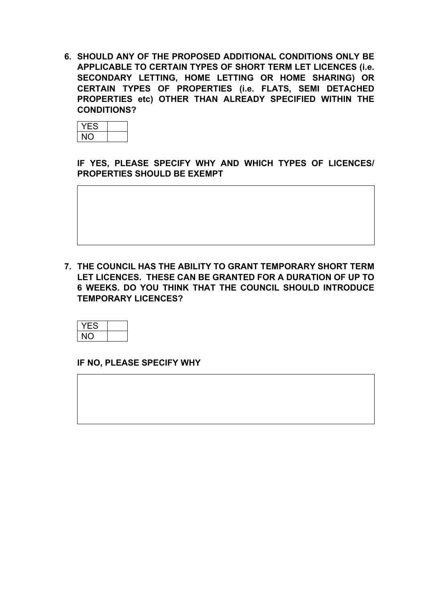**6. SHOULD ANY OF THE PROPOSED ADDITIONAL CONDITIONS ONLY BE APPLICABLE TO CERTAIN TYPES OF SHORT TERM LET LICENCES (i.e. SECONDARY LETTING, HOME LETTING OR HOME SHARING) OR CERTAIN TYPES OF PROPERTIES (i.e. FLATS, SEMI DETACHED PROPERTIES etc) OTHER THAN ALREADY SPECIFIED WITHIN THE CONDITIONS?**



**IF YES, PLEASE SPECIFY WHY AND WHICH TYPES OF LICENCES/ PROPERTIES SHOULD BE EXEMPT**

**7. THE COUNCIL HAS THE ABILITY TO GRANT TEMPORARY SHORT TERM LET LICENCES. THESE CAN BE GRANTED FOR A DURATION OF UP TO 6 WEEKS. DO YOU THINK THAT THE COUNCIL SHOULD INTRODUCE TEMPORARY LICENCES?**

**IF NO, PLEASE SPECIFY WHY**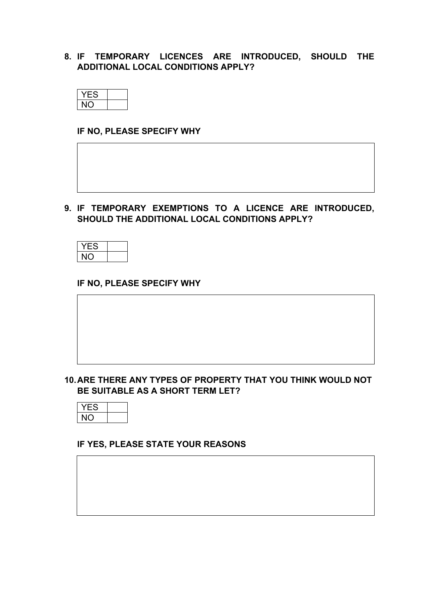#### **8. IF TEMPORARY LICENCES ARE INTRODUCED, SHOULD THE ADDITIONAL LOCAL CONDITIONS APPLY?**



#### **IF NO, PLEASE SPECIFY WHY**



**9. IF TEMPORARY EXEMPTIONS TO A LICENCE ARE INTRODUCED, SHOULD THE ADDITIONAL LOCAL CONDITIONS APPLY?**



#### **IF NO, PLEASE SPECIFY WHY**

#### **10.ARE THERE ANY TYPES OF PROPERTY THAT YOU THINK WOULD NOT BE SUITABLE AS A SHORT TERM LET?**



#### **IF YES, PLEASE STATE YOUR REASONS**